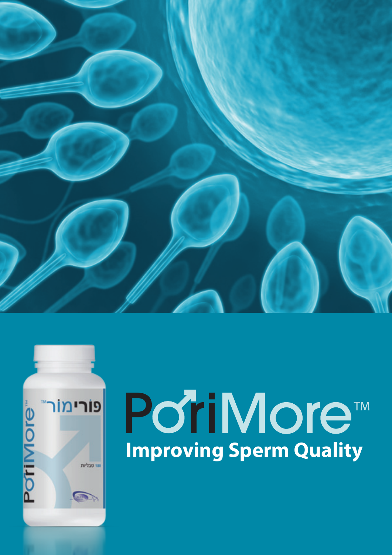



# **Port More™**<br>Improving Sperm Quality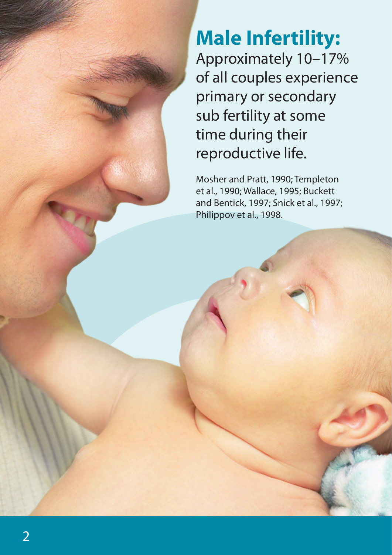### **Male Infertility:** Approximately 10–17% of all couples experience primary or secondary sub fertility at some time during their reproductive life.

Mosher and Pratt, 1990; Templeton et al., 1990; Wallace, 1995; Buckett and Bentick, 1997; Snick et al., 1997; Philippov et al., 1998.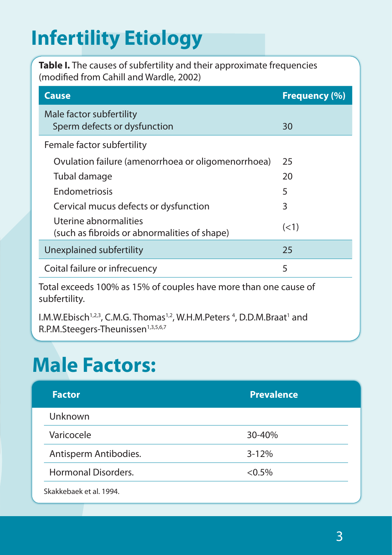## **Infertility Etiology**

**Table I.** The causes of subfertility and their approximate frequencies (modified from Cahill and Wardle, 2002)

| <b>Cause</b>                                                          | <b>Frequency (%)</b> |
|-----------------------------------------------------------------------|----------------------|
| Male factor subfertility<br>Sperm defects or dysfunction              | 30                   |
| Female factor subfertility                                            |                      |
| Ovulation failure (amenorrhoea or oligomenorrhoea)                    | 25                   |
| Tubal damage                                                          | 20                   |
| Endometriosis                                                         | 5                    |
| Cervical mucus defects or dysfunction                                 | 3                    |
| Uterine abnormalities<br>(such as fibroids or abnormalities of shape) | (<1)                 |
| Unexplained subfertility                                              | 25                   |
| Coital failure or infrecuency                                         | 5                    |

Total exceeds 100% as 15% of couples have more than one cause of subfertility.

I.M.W.Ebisch<sup>1,2,3</sup>, C.M.G. Thomas<sup>1,2</sup>, W.H.M.Peters<sup>4</sup>, D.D.M.Braat<sup>1</sup> and R.P.M.Steegers-Theunissen<sup>1,3,5,6,7</sup>

## **Male Factors:**

| <b>Factor</b>              | <b>Prevalence</b> |
|----------------------------|-------------------|
| Unknown                    |                   |
| Varicocele                 | 30-40%            |
| Antisperm Antibodies.      | $3 - 12%$         |
| <b>Hormonal Disorders.</b> | $< 0.5\%$         |
| Skakkebaek et al. 1994.    |                   |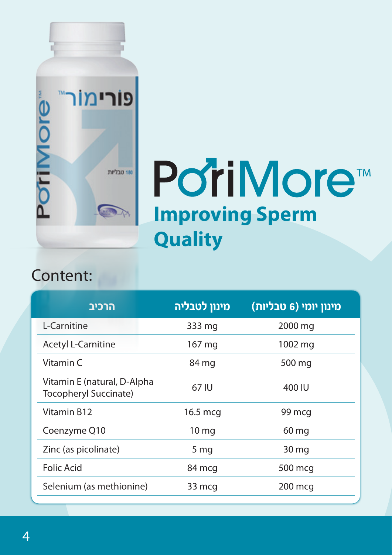

## PoriMore<sup>™</sup> **Improving Sperm Quality**

#### Content:

| הרכיב                                                       | מינון לטבליה     | (1 טבליות (6 טבליות |
|-------------------------------------------------------------|------------------|---------------------|
| L-Carnitine                                                 | 333 mg           | 2000 mg             |
| <b>Acetyl L-Carnitine</b>                                   | 167 mg           | 1002 mg             |
| Vitamin C                                                   | 84 mg            | 500 mg              |
| Vitamin E (natural, D-Alpha<br><b>Tocopheryl Succinate)</b> | 67 IU            | 400 IU              |
| Vitamin B12                                                 | 16.5 mcg         | 99 mcg              |
| Coenzyme Q10                                                | 10 <sub>mg</sub> | 60 mg               |
| Zinc (as picolinate)                                        | 5 <sub>mg</sub>  | 30 mg               |
| <b>Folic Acid</b>                                           | 84 mcg           | 500 mcg             |
| Selenium (as methionine)                                    | 33 mcg           | 200 mcg             |
|                                                             |                  |                     |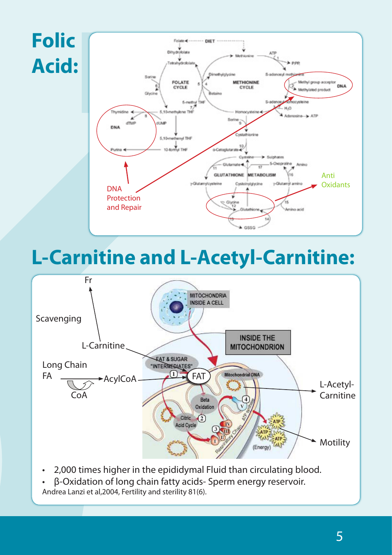

## **L-Carnitine and L-Acetyl-Carnitine:**



- 2,000 times higher in the epididymal Fluid than circulating blood.
- β-Oxidation of long chain fatty acids- Sperm energy reservoir.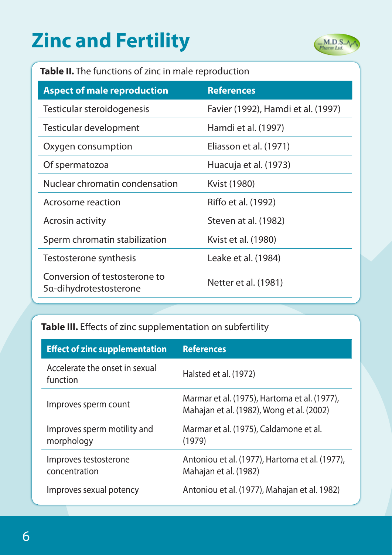## **Zinc and Fertility**



#### **Table II.** The functions of zinc in male reproduction

| <b>Aspect of male reproduction</b>                      | <b>References</b>                  |
|---------------------------------------------------------|------------------------------------|
| Testicular steroidogenesis                              | Favier (1992), Hamdi et al. (1997) |
| Testicular development                                  | Hamdi et al. (1997)                |
| Oxygen consumption                                      | Eliasson et al. (1971)             |
| Of spermatozoa                                          | Huacuja et al. (1973)              |
| Nuclear chromatin condensation                          | Kvist (1980)                       |
| Acrosome reaction                                       | Riffo et al. (1992)                |
| Acrosin activity                                        | Steven at al. (1982)               |
| Sperm chromatin stabilization                           | Kvist et al. (1980)                |
| Testosterone synthesis                                  | Leake et al. (1984)                |
| Conversion of testosterone to<br>5α-dihydrotestosterone | Netter et al. (1981)               |

#### **Table III.** Effects of zinc supplementation on subfertility

| <b>Effect of zinc supplementation</b>      | <b>References</b>                                                                         |
|--------------------------------------------|-------------------------------------------------------------------------------------------|
| Accelerate the onset in sexual<br>function | Halsted et al. (1972)                                                                     |
| Improves sperm count                       | Marmar et al. (1975), Hartoma et al. (1977),<br>Mahajan et al. (1982), Wong et al. (2002) |
| Improves sperm motility and<br>morphology  | Marmar et al. (1975), Caldamone et al.<br>(1979)                                          |
| Improves testosterone<br>concentration     | Antoniou et al. (1977), Hartoma et al. (1977),<br>Mahajan et al. (1982)                   |
| Improves sexual potency                    | Antoniou et al. (1977), Mahajan et al. 1982)                                              |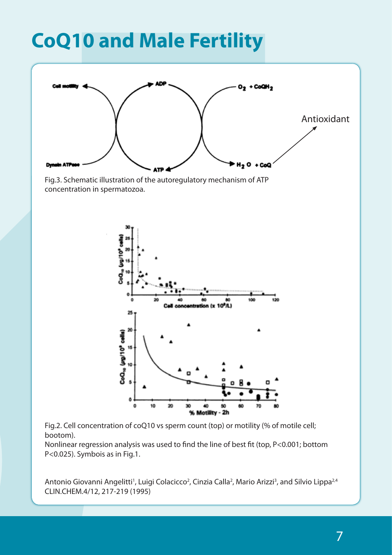## **CoQ10 and Male Fertility**



Fig.3. Schematic illustration of the autoregulatory mechanism of ATP concentration in spermatozoa.



Fig.2. Cell concentration of coQ10 vs sperm count (top) or motility (% of motile cell; bootom).

Nonlinear regression analysis was used to find the line of best fit (top, P<0.001; bottom P<0.025). Symbois as in Fig.1.

Antonio Giovanni Angelitti<sup>1</sup>, Luigi Colacicco<sup>2</sup>, Cinzia Calla<sup>2</sup>, Mario Arizzi<sup>3</sup>, and Silvio Lippa<sup>2,4</sup> CLIN.CHEM.4/12, 217-219 (1995)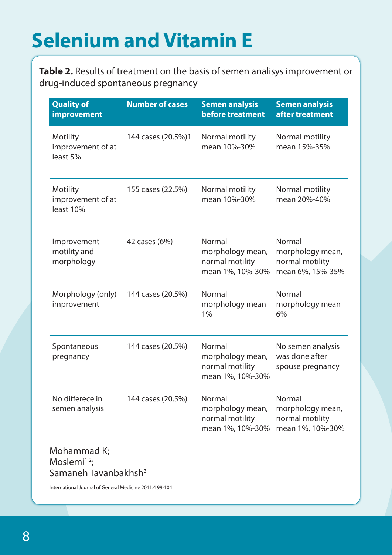## **Selenium and Vitamin E**

**Table 2.** Results of treatment on the basis of semen analisys improvement or drug-induced spontaneous pregnancy

| <b>Quality of</b><br>improvement                                   | <b>Number of cases</b> | <b>Semen analysis</b><br>before treatment                         | <b>Semen analysis</b><br>after treatment                          |
|--------------------------------------------------------------------|------------------------|-------------------------------------------------------------------|-------------------------------------------------------------------|
| Motility<br>improvement of at<br>least 5%                          | 144 cases (20.5%)1     | Normal motility<br>mean 10%-30%                                   | Normal motility<br>mean 15%-35%                                   |
| <b>Motility</b><br>improvement of at<br>least 10%                  | 155 cases (22.5%)      | Normal motility<br>mean 10%-30%                                   | Normal motility<br>mean 20%-40%                                   |
| Improvement<br>motility and<br>morphology                          | 42 cases (6%)          | Normal<br>morphology mean,<br>normal motility<br>mean 1%, 10%-30% | Normal<br>morphology mean,<br>normal motility<br>mean 6%, 15%-35% |
| Morphology (only)<br>improvement                                   | 144 cases (20.5%)      | Normal<br>morphology mean<br>1%                                   | Normal<br>morphology mean<br>6%                                   |
| Spontaneous<br>pregnancy                                           | 144 cases (20.5%)      | Normal<br>morphology mean,<br>normal motility<br>mean 1%, 10%-30% | No semen analysis<br>was done after<br>spouse pregnancy           |
| No differece in<br>semen analysis                                  | 144 cases (20.5%)      | Normal<br>morphology mean,<br>normal motility<br>mean 1%, 10%-30% | Normal<br>morphology mean,<br>normal motility<br>mean 1%, 10%-30% |
| Mohammad K;<br>Moslemi $1,2$ ;<br>Samaneh Tavanbakhsh <sup>3</sup> |                        |                                                                   |                                                                   |
| International Journal of General Medicine 2011:4 99-104            |                        |                                                                   |                                                                   |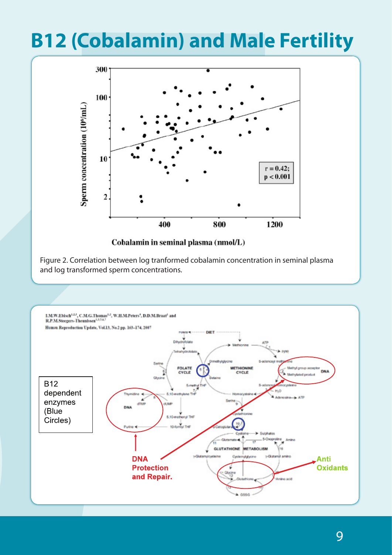## **B12 (Cobalamin) and Male Fertility**



Cobalamin in seminal plasma (nmol/L)

Figure 2. Correlation between log tranformed cobalamin concentration in seminal plasma and log transformed sperm concentrations.

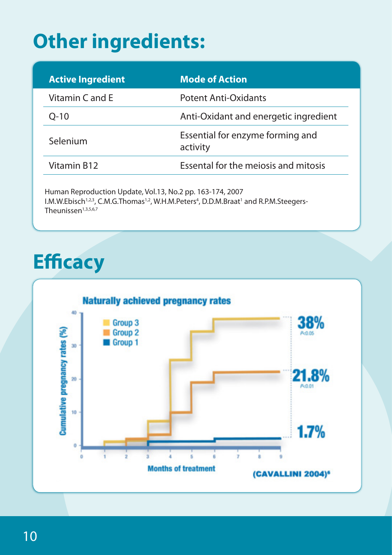## **Other ingredients:**

| <b>Active Ingredient</b>                            | <b>Mode of Action</b>                        |
|-----------------------------------------------------|----------------------------------------------|
| Vitamin C and E                                     | <b>Potent Anti-Oxidants</b>                  |
| $Q-10$                                              | Anti-Oxidant and energetic ingredient        |
| Selenium                                            | Essential for enzyme forming and<br>activity |
| Vitamin B12<br>Essental for the meiosis and mitosis |                                              |

I.M.W.Ebisch<sup>1,2,3</sup>, C.M.G.Thomas<sup>1,2</sup>, W.H.M.Peters<sup>4</sup>, D.D.M.Braat<sup>1</sup> and R.P.M.Steegers-Theunissen $1,3,5,6,7$ 

## **Efficacy**